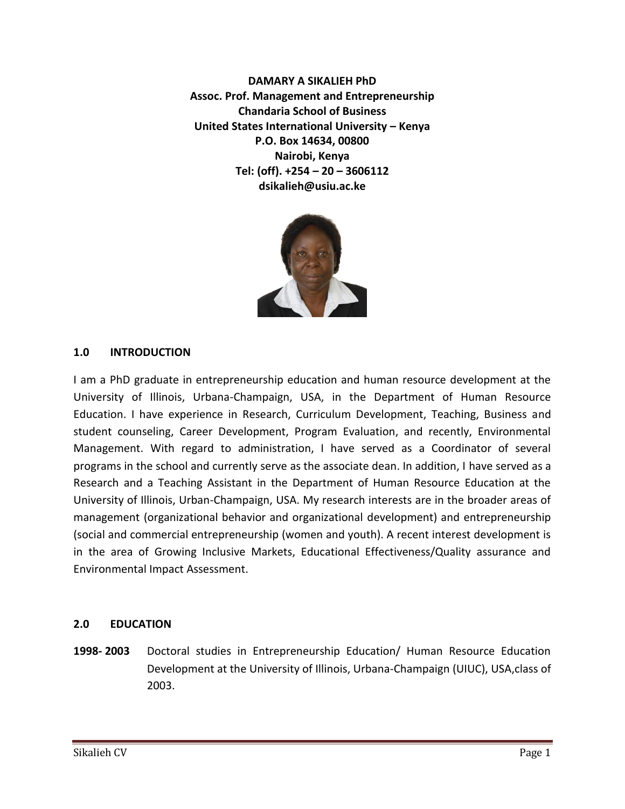**DAMARY A SIKALIEH PhD Assoc. Prof. Management and Entrepreneurship Chandaria School of Business United States International University – Kenya P.O. Box 14634, 00800 Nairobi, Kenya Tel: (off). +254 – 20 – 3606112 dsikalieh@usiu.ac.ke** 



#### **1.0 INTRODUCTION**

I am a PhD graduate in entrepreneurship education and human resource development at the University of Illinois, Urbana-Champaign, USA, in the Department of Human Resource Education. I have experience in Research, Curriculum Development, Teaching, Business and student counseling, Career Development, Program Evaluation, and recently, Environmental Management. With regard to administration, I have served as a Coordinator of several programs in the school and currently serve as the associate dean. In addition, I have served as a Research and a Teaching Assistant in the Department of Human Resource Education at the University of Illinois, Urban-Champaign, USA. My research interests are in the broader areas of management (organizational behavior and organizational development) and entrepreneurship (social and commercial entrepreneurship (women and youth). A recent interest development is in the area of Growing Inclusive Markets, Educational Effectiveness/Quality assurance and Environmental Impact Assessment.

#### **2.0 EDUCATION**

**1998- 2003** Doctoral studies in Entrepreneurship Education/ Human Resource Education Development at the University of Illinois, Urbana-Champaign (UIUC), USA,class of 2003.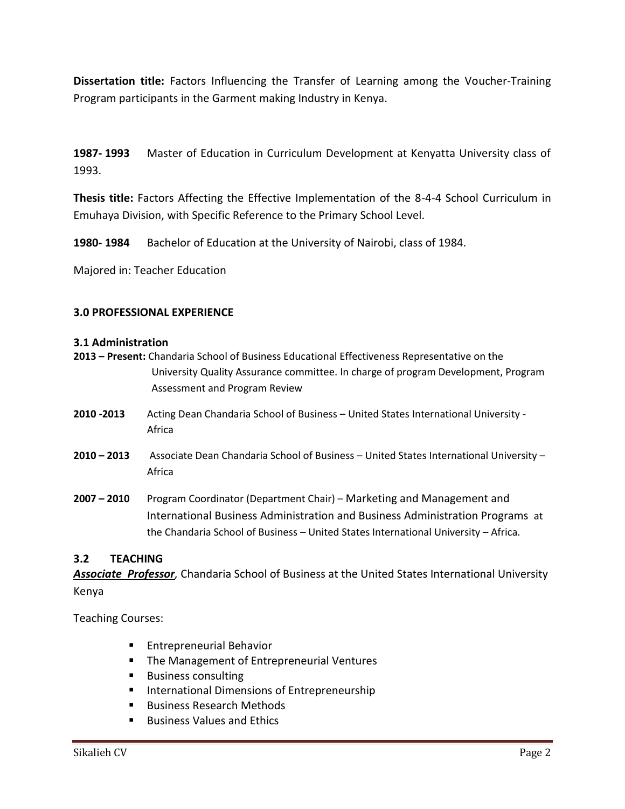**Dissertation title:** Factors Influencing the Transfer of Learning among the Voucher-Training Program participants in the Garment making Industry in Kenya.

**1987- 1993** Master of Education in Curriculum Development at Kenyatta University class of 1993.

**Thesis title:** Factors Affecting the Effective Implementation of the 8-4-4 School Curriculum in Emuhaya Division, with Specific Reference to the Primary School Level.

**1980- 1984** Bachelor of Education at the University of Nairobi, class of 1984.

Majored in: Teacher Education

#### **3.0 PROFESSIONAL EXPERIENCE**

#### **3.1 Administration**

- **2013 – Present:** Chandaria School of Business Educational Effectiveness Representative on the University Quality Assurance committee. In charge of program Development, Program Assessment and Program Review
- **2010 -2013** Acting Dean Chandaria School of Business United States International University Africa
- **2010 – 2013** Associate Dean Chandaria School of Business United States International University Africa
- **2007 – 2010** Program Coordinator (Department Chair) Marketing and Management and International Business Administration and Business Administration Programs at the Chandaria School of Business – United States International University – Africa.

#### **3.2 TEACHING**

*Associate Professor,* Chandaria School of Business at the United States International University Kenya

Teaching Courses:

- **Entrepreneurial Behavior**
- **The Management of Entrepreneurial Ventures**
- Business consulting
- International Dimensions of Entrepreneurship
- Business Research Methods
- Business Values and Ethics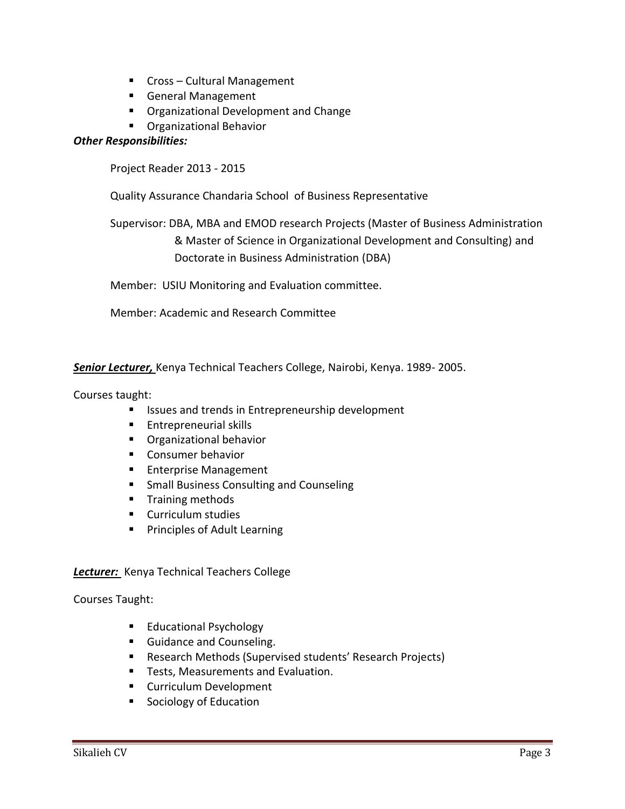- Cross Cultural Management
- General Management
- **Organizational Development and Change**
- **C**rganizational Behavior

#### *Other Responsibilities:*

Project Reader 2013 - 2015

Quality Assurance Chandaria School of Business Representative

Supervisor: DBA, MBA and EMOD research Projects (Master of Business Administration & Master of Science in Organizational Development and Consulting) and Doctorate in Business Administration (DBA)

Member: USIU Monitoring and Evaluation committee.

Member: Academic and Research Committee

*Senior Lecturer,* Kenya Technical Teachers College, Nairobi, Kenya. 1989- 2005.

#### Courses taught:

- **IF Issues and trends in Entrepreneurship development**
- **Entrepreneurial skills**
- **C**rganizational behavior
- **Consumer behavior**
- **Enterprise Management**
- **F** Small Business Consulting and Counseling
- **Training methods**
- Curriculum studies
- **Principles of Adult Learning**

#### *Lecturer:* Kenya Technical Teachers College

Courses Taught:

- **Educational Psychology**
- **Guidance and Counseling.**
- Research Methods (Supervised students' Research Projects)
- **Tests, Measurements and Evaluation.**
- **Curriculum Development**
- **Sociology of Education**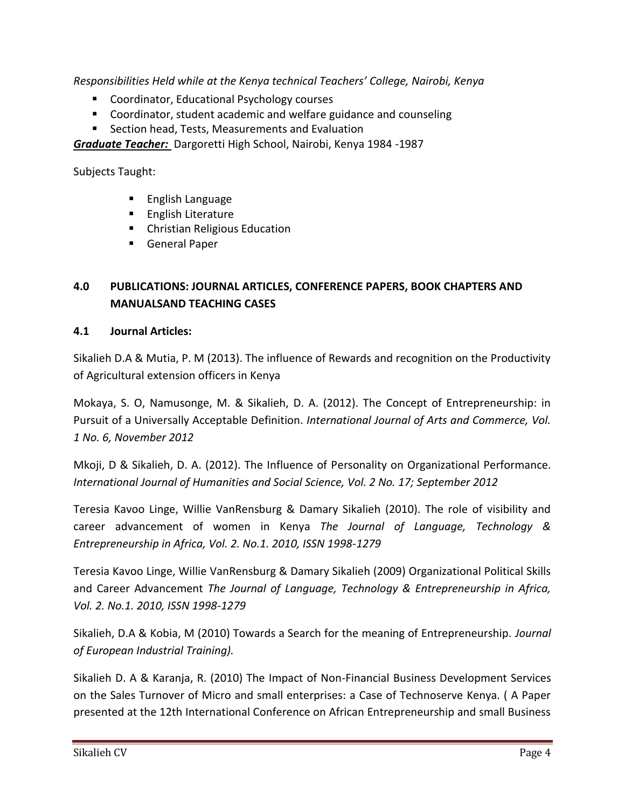*Responsibilities Held while at the Kenya technical Teachers' College, Nairobi, Kenya*

- Coordinator, Educational Psychology courses
- Coordinator, student academic and welfare guidance and counseling
- **E** Section head, Tests, Measurements and Evaluation

*Graduate Teacher:* Dargoretti High School, Nairobi, Kenya 1984 -1987

Subjects Taught:

- **English Language**
- **English Literature**
- **EXEC** Christian Religious Education
- General Paper

# **4.0 PUBLICATIONS: JOURNAL ARTICLES, CONFERENCE PAPERS, BOOK CHAPTERS AND MANUALSAND TEACHING CASES**

## **4.1 Journal Articles:**

Sikalieh D.A & Mutia, P. M (2013). The influence of Rewards and recognition on the Productivity of Agricultural extension officers in Kenya

Mokaya, S. O, Namusonge, M. & Sikalieh, D. A. (2012). The Concept of Entrepreneurship: in Pursuit of a Universally Acceptable Definition. *International Journal of Arts and Commerce, Vol. 1 No. 6, November 2012* 

Mkoji, D & Sikalieh, D. A. (2012). The Influence of Personality on Organizational Performance. *International Journal of Humanities and Social Science, Vol. 2 No. 17; September 2012*

Teresia Kavoo Linge, Willie VanRensburg & Damary Sikalieh (2010). The role of visibility and career advancement of women in Kenya *The Journal of Language, Technology & Entrepreneurship in Africa, Vol. 2. No.1. 2010, ISSN 1998-1279*

Teresia Kavoo Linge, Willie VanRensburg & Damary Sikalieh (2009) Organizational Political Skills and Career Advancement *The Journal of Language, Technology & Entrepreneurship in Africa, Vol. 2. No.1. 2010, ISSN 1998-1279*

Sikalieh, D.A & Kobia, M (2010) Towards a Search for the meaning of Entrepreneurship. *Journal of European Industrial Training).* 

Sikalieh D. A & Karanja, R. (2010) The Impact of Non-Financial Business Development Services on the Sales Turnover of Micro and small enterprises: a Case of Technoserve Kenya. ( A Paper presented at the 12th International Conference on African Entrepreneurship and small Business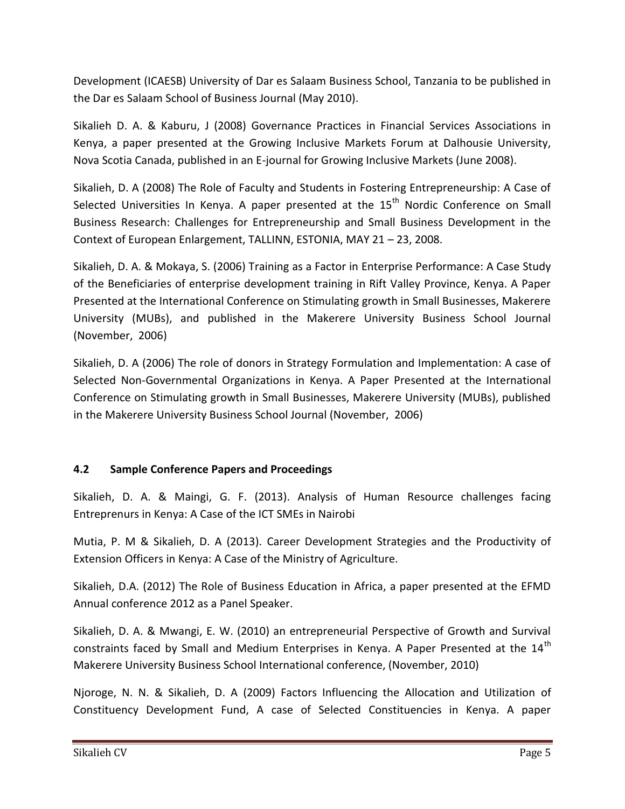Development (ICAESB) University of Dar es Salaam Business School, Tanzania to be published in the Dar es Salaam School of Business Journal (May 2010).

Sikalieh D. A. & Kaburu, J (2008) Governance Practices in Financial Services Associations in Kenya, a paper presented at the Growing Inclusive Markets Forum at Dalhousie University, Nova Scotia Canada, published in an E-journal for Growing Inclusive Markets (June 2008).

Sikalieh, D. A (2008) The Role of Faculty and Students in Fostering Entrepreneurship: A Case of Selected Universities In Kenya. A paper presented at the  $15<sup>th</sup>$  Nordic Conference on Small Business Research: Challenges for Entrepreneurship and Small Business Development in the Context of European Enlargement, TALLINN, ESTONIA, MAY 21 – 23, 2008.

Sikalieh, D. A. & Mokaya, S. (2006) Training as a Factor in Enterprise Performance: A Case Study of the Beneficiaries of enterprise development training in Rift Valley Province, Kenya. A Paper Presented at the International Conference on Stimulating growth in Small Businesses, Makerere University (MUBs), and published in the Makerere University Business School Journal (November, 2006)

Sikalieh, D. A (2006) The role of donors in Strategy Formulation and Implementation: A case of Selected Non-Governmental Organizations in Kenya. A Paper Presented at the International Conference on Stimulating growth in Small Businesses, Makerere University (MUBs), published in the Makerere University Business School Journal (November, 2006)

## **4.2 Sample Conference Papers and Proceedings**

Sikalieh, D. A. & Maingi, G. F. (2013). Analysis of Human Resource challenges facing Entreprenurs in Kenya: A Case of the ICT SMEs in Nairobi

Mutia, P. M & Sikalieh, D. A (2013). Career Development Strategies and the Productivity of Extension Officers in Kenya: A Case of the Ministry of Agriculture.

Sikalieh, D.A. (2012) The Role of Business Education in Africa, a paper presented at the EFMD Annual conference 2012 as a Panel Speaker.

Sikalieh, D. A. & Mwangi, E. W. (2010) an entrepreneurial Perspective of Growth and Survival constraints faced by Small and Medium Enterprises in Kenya. A Paper Presented at the 14<sup>th</sup> Makerere University Business School International conference, (November, 2010)

Njoroge, N. N. & Sikalieh, D. A (2009) Factors Influencing the Allocation and Utilization of Constituency Development Fund, A case of Selected Constituencies in Kenya. A paper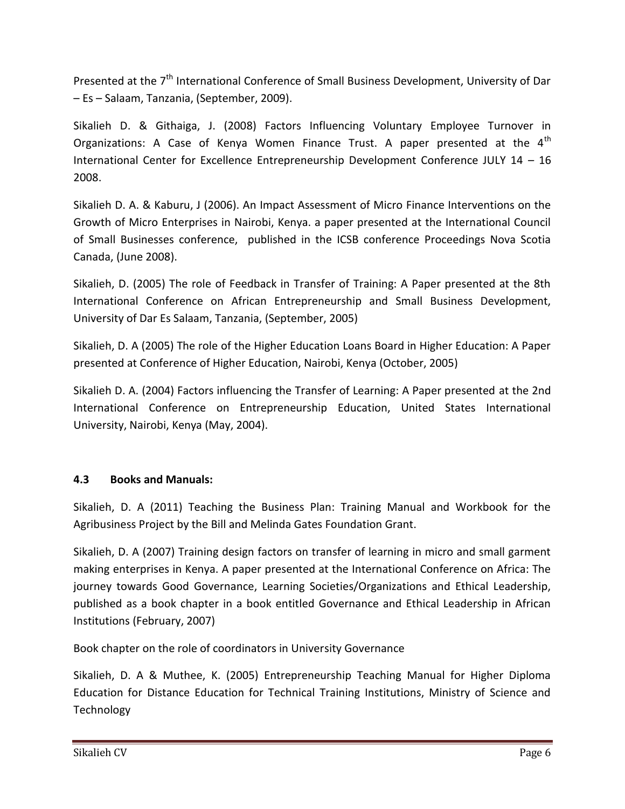Presented at the 7<sup>th</sup> International Conference of Small Business Development, University of Dar – Es – Salaam, Tanzania, (September, 2009).

Sikalieh D. & Githaiga, J. (2008) Factors Influencing Voluntary Employee Turnover in Organizations: A Case of Kenya Women Finance Trust. A paper presented at the  $4<sup>th</sup>$ International Center for Excellence Entrepreneurship Development Conference JULY 14 – 16 2008.

Sikalieh D. A. & Kaburu, J (2006). An Impact Assessment of Micro Finance Interventions on the Growth of Micro Enterprises in Nairobi, Kenya. a paper presented at the International Council of Small Businesses conference, published in the ICSB conference Proceedings Nova Scotia Canada, (June 2008).

Sikalieh, D. (2005) The role of Feedback in Transfer of Training: A Paper presented at the 8th International Conference on African Entrepreneurship and Small Business Development, University of Dar Es Salaam, Tanzania, (September, 2005)

Sikalieh, D. A (2005) The role of the Higher Education Loans Board in Higher Education: A Paper presented at Conference of Higher Education, Nairobi, Kenya (October, 2005)

Sikalieh D. A. (2004) Factors influencing the Transfer of Learning: A Paper presented at the 2nd International Conference on Entrepreneurship Education, United States International University, Nairobi, Kenya (May, 2004).

## **4.3 Books and Manuals:**

Sikalieh, D. A (2011) Teaching the Business Plan: Training Manual and Workbook for the Agribusiness Project by the Bill and Melinda Gates Foundation Grant.

Sikalieh, D. A (2007) Training design factors on transfer of learning in micro and small garment making enterprises in Kenya. A paper presented at the International Conference on Africa: The journey towards Good Governance, Learning Societies/Organizations and Ethical Leadership, published as a book chapter in a book entitled Governance and Ethical Leadership in African Institutions (February, 2007)

Book chapter on the role of coordinators in University Governance

Sikalieh, D. A & Muthee, K. (2005) Entrepreneurship Teaching Manual for Higher Diploma Education for Distance Education for Technical Training Institutions, Ministry of Science and **Technology**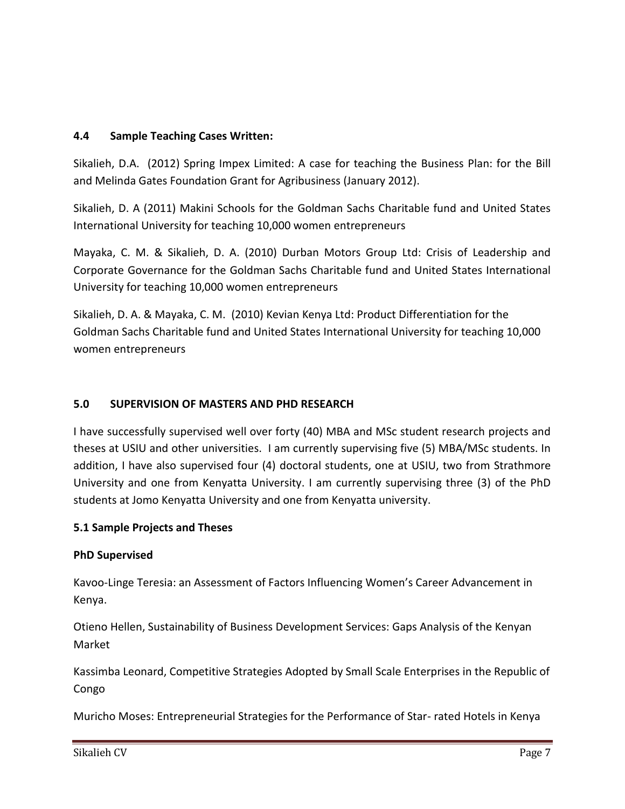## **4.4 Sample Teaching Cases Written:**

Sikalieh, D.A. (2012) Spring Impex Limited: A case for teaching the Business Plan: for the Bill and Melinda Gates Foundation Grant for Agribusiness (January 2012).

Sikalieh, D. A (2011) Makini Schools for the Goldman Sachs Charitable fund and United States International University for teaching 10,000 women entrepreneurs

Mayaka, C. M. & Sikalieh, D. A. (2010) Durban Motors Group Ltd: Crisis of Leadership and Corporate Governance for the Goldman Sachs Charitable fund and United States International University for teaching 10,000 women entrepreneurs

Sikalieh, D. A. & Mayaka, C. M. (2010) Kevian Kenya Ltd: Product Differentiation for the Goldman Sachs Charitable fund and United States International University for teaching 10,000 women entrepreneurs

## **5.0 SUPERVISION OF MASTERS AND PHD RESEARCH**

I have successfully supervised well over forty (40) MBA and MSc student research projects and theses at USIU and other universities. I am currently supervising five (5) MBA/MSc students. In addition, I have also supervised four (4) doctoral students, one at USIU, two from Strathmore University and one from Kenyatta University. I am currently supervising three (3) of the PhD students at Jomo Kenyatta University and one from Kenyatta university.

### **5.1 Sample Projects and Theses**

### **PhD Supervised**

Kavoo-Linge Teresia: an Assessment of Factors Influencing Women's Career Advancement in Kenya.

Otieno Hellen, Sustainability of Business Development Services: Gaps Analysis of the Kenyan Market

Kassimba Leonard, Competitive Strategies Adopted by Small Scale Enterprises in the Republic of Congo

Muricho Moses: Entrepreneurial Strategies for the Performance of Star- rated Hotels in Kenya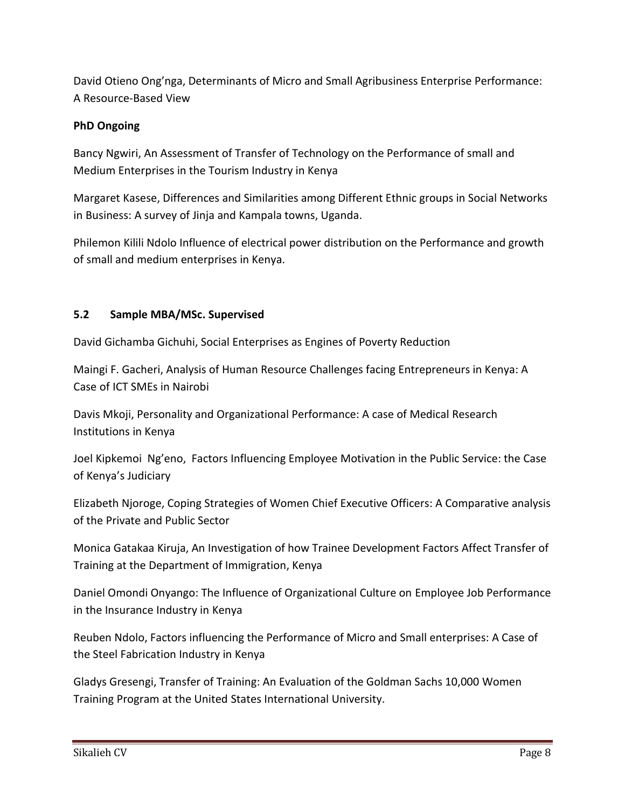David Otieno Ong'nga, Determinants of Micro and Small Agribusiness Enterprise Performance: A Resource-Based View

## **PhD Ongoing**

Bancy Ngwiri, An Assessment of Transfer of Technology on the Performance of small and Medium Enterprises in the Tourism Industry in Kenya

Margaret Kasese, Differences and Similarities among Different Ethnic groups in Social Networks in Business: A survey of Jinja and Kampala towns, Uganda.

Philemon Kilili Ndolo Influence of electrical power distribution on the Performance and growth of small and medium enterprises in Kenya.

## **5.2 Sample MBA/MSc. Supervised**

David Gichamba Gichuhi, Social Enterprises as Engines of Poverty Reduction

Maingi F. Gacheri, Analysis of Human Resource Challenges facing Entrepreneurs in Kenya: A Case of ICT SMEs in Nairobi

Davis Mkoji, Personality and Organizational Performance: A case of Medical Research Institutions in Kenya

Joel Kipkemoi Ng'eno, Factors Influencing Employee Motivation in the Public Service: the Case of Kenya's Judiciary

Elizabeth Njoroge, Coping Strategies of Women Chief Executive Officers: A Comparative analysis of the Private and Public Sector

Monica Gatakaa Kiruja, An Investigation of how Trainee Development Factors Affect Transfer of Training at the Department of Immigration, Kenya

Daniel Omondi Onyango: The Influence of Organizational Culture on Employee Job Performance in the Insurance Industry in Kenya

Reuben Ndolo, Factors influencing the Performance of Micro and Small enterprises: A Case of the Steel Fabrication Industry in Kenya

Gladys Gresengi, Transfer of Training: An Evaluation of the Goldman Sachs 10,000 Women Training Program at the United States International University.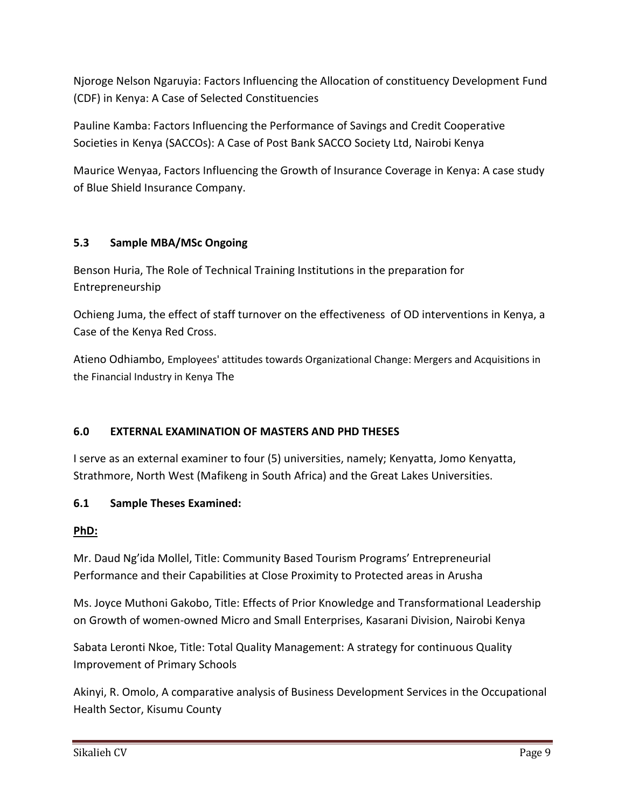Njoroge Nelson Ngaruyia: Factors Influencing the Allocation of constituency Development Fund (CDF) in Kenya: A Case of Selected Constituencies

Pauline Kamba: Factors Influencing the Performance of Savings and Credit Cooperative Societies in Kenya (SACCOs): A Case of Post Bank SACCO Society Ltd, Nairobi Kenya

Maurice Wenyaa, Factors Influencing the Growth of Insurance Coverage in Kenya: A case study of Blue Shield Insurance Company.

## **5.3 Sample MBA/MSc Ongoing**

Benson Huria, The Role of Technical Training Institutions in the preparation for Entrepreneurship

Ochieng Juma, the effect of staff turnover on the effectiveness of OD interventions in Kenya, a Case of the Kenya Red Cross.

Atieno Odhiambo, Employees' attitudes towards Organizational Change: Mergers and Acquisitions in the Financial Industry in Kenya The

## **6.0 EXTERNAL EXAMINATION OF MASTERS AND PHD THESES**

I serve as an external examiner to four (5) universities, namely; Kenyatta, Jomo Kenyatta, Strathmore, North West (Mafikeng in South Africa) and the Great Lakes Universities.

## **6.1 Sample Theses Examined:**

## **PhD:**

Mr. Daud Ng'ida Mollel, Title: Community Based Tourism Programs' Entrepreneurial Performance and their Capabilities at Close Proximity to Protected areas in Arusha

Ms. Joyce Muthoni Gakobo, Title: Effects of Prior Knowledge and Transformational Leadership on Growth of women-owned Micro and Small Enterprises, Kasarani Division, Nairobi Kenya

Sabata Leronti Nkoe, Title: Total Quality Management: A strategy for continuous Quality Improvement of Primary Schools

Akinyi, R. Omolo, A comparative analysis of Business Development Services in the Occupational Health Sector, Kisumu County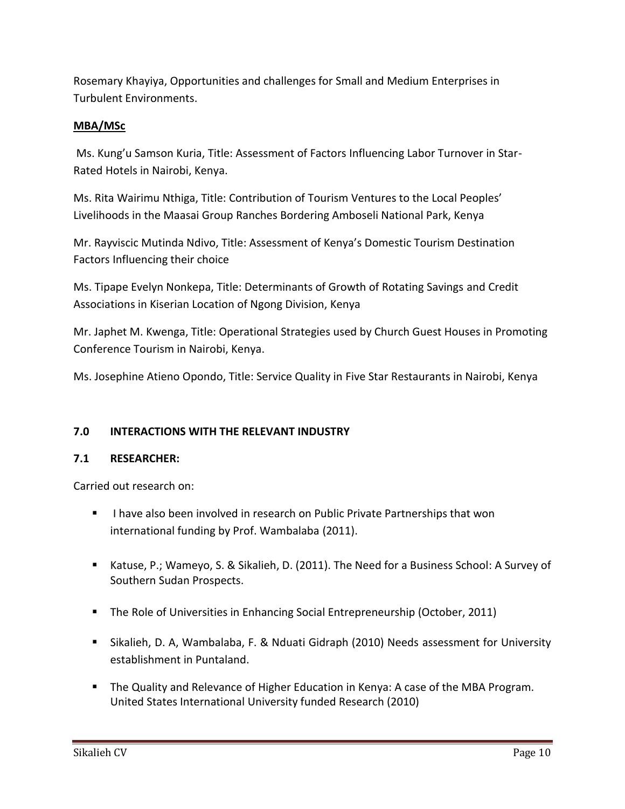Rosemary Khayiya, Opportunities and challenges for Small and Medium Enterprises in Turbulent Environments.

## **MBA/MSc**

Ms. Kung'u Samson Kuria, Title: Assessment of Factors Influencing Labor Turnover in Star-Rated Hotels in Nairobi, Kenya.

Ms. Rita Wairimu Nthiga, Title: Contribution of Tourism Ventures to the Local Peoples' Livelihoods in the Maasai Group Ranches Bordering Amboseli National Park, Kenya

Mr. Rayviscic Mutinda Ndivo, Title: Assessment of Kenya's Domestic Tourism Destination Factors Influencing their choice

Ms. Tipape Evelyn Nonkepa, Title: Determinants of Growth of Rotating Savings and Credit Associations in Kiserian Location of Ngong Division, Kenya

Mr. Japhet M. Kwenga, Title: Operational Strategies used by Church Guest Houses in Promoting Conference Tourism in Nairobi, Kenya.

Ms. Josephine Atieno Opondo, Title: Service Quality in Five Star Restaurants in Nairobi, Kenya

### **7.0 INTERACTIONS WITH THE RELEVANT INDUSTRY**

### **7.1 RESEARCHER:**

Carried out research on:

- **I** have also been involved in research on Public Private Partnerships that won international funding by Prof. Wambalaba (2011).
- Katuse, P.; Wameyo, S. & Sikalieh, D. (2011). The Need for a Business School: A Survey of Southern Sudan Prospects.
- The Role of Universities in Enhancing Social Entrepreneurship (October, 2011)
- Sikalieh, D. A, Wambalaba, F. & Nduati Gidraph (2010) Needs assessment for University establishment in Puntaland.
- The Quality and Relevance of Higher Education in Kenya: A case of the MBA Program. United States International University funded Research (2010)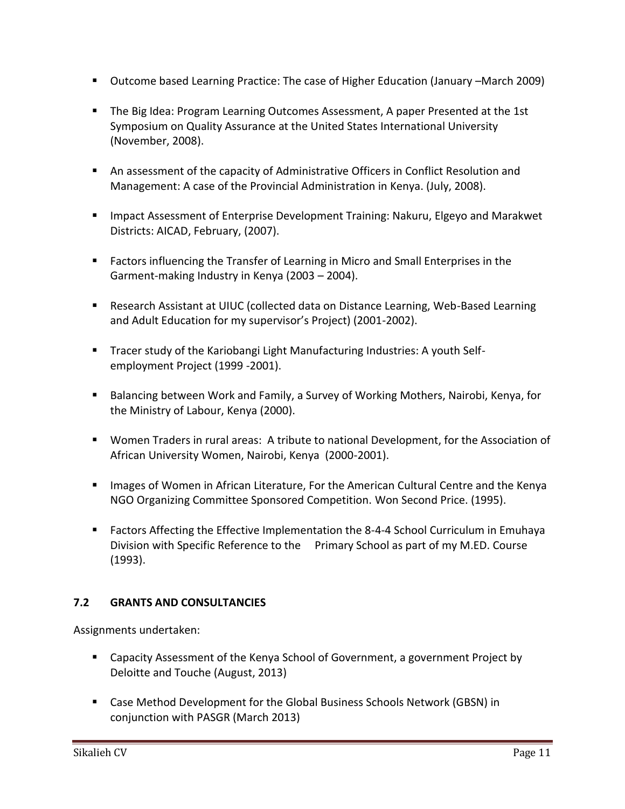- Outcome based Learning Practice: The case of Higher Education (January –March 2009)
- The Big Idea: Program Learning Outcomes Assessment, A paper Presented at the 1st Symposium on Quality Assurance at the United States International University (November, 2008).
- An assessment of the capacity of Administrative Officers in Conflict Resolution and Management: A case of the Provincial Administration in Kenya. (July, 2008).
- Impact Assessment of Enterprise Development Training: Nakuru, Elgeyo and Marakwet Districts: AICAD, February, (2007).
- Factors influencing the Transfer of Learning in Micro and Small Enterprises in the Garment-making Industry in Kenya (2003 – 2004).
- Research Assistant at UIUC (collected data on Distance Learning, Web-Based Learning and Adult Education for my supervisor's Project) (2001-2002).
- Tracer study of the Kariobangi Light Manufacturing Industries: A youth Selfemployment Project (1999 -2001).
- Balancing between Work and Family, a Survey of Working Mothers, Nairobi, Kenya, for the Ministry of Labour, Kenya (2000).
- Women Traders in rural areas: A tribute to national Development, for the Association of African University Women, Nairobi, Kenya (2000-2001).
- **IMages of Women in African Literature, For the American Cultural Centre and the Kenya** NGO Organizing Committee Sponsored Competition. Won Second Price. (1995).
- Factors Affecting the Effective Implementation the 8-4-4 School Curriculum in Emuhaya Division with Specific Reference to the Primary School as part of my M.ED. Course (1993).

### **7.2 GRANTS AND CONSULTANCIES**

Assignments undertaken:

- Capacity Assessment of the Kenya School of Government, a government Project by Deloitte and Touche (August, 2013)
- Case Method Development for the Global Business Schools Network (GBSN) in conjunction with PASGR (March 2013)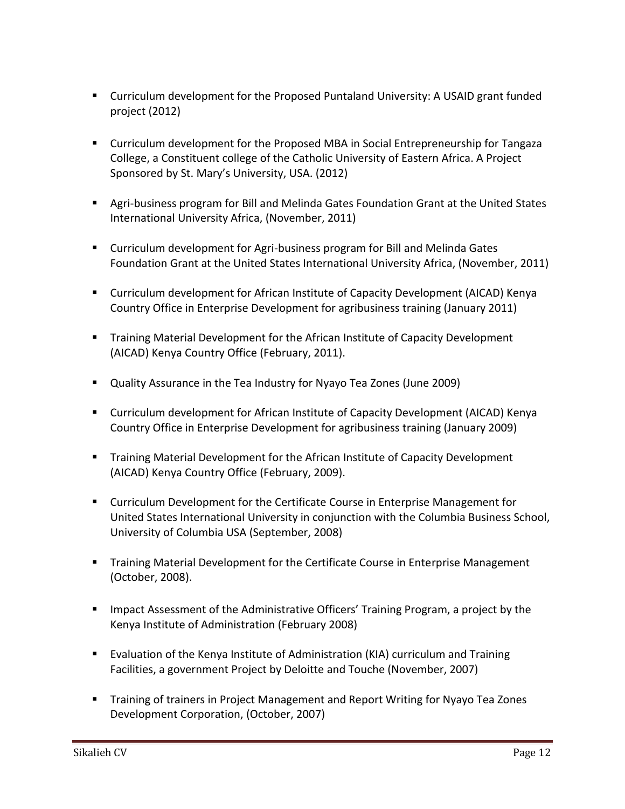- Curriculum development for the Proposed Puntaland University: A USAID grant funded project (2012)
- Curriculum development for the Proposed MBA in Social Entrepreneurship for Tangaza College, a Constituent college of the Catholic University of Eastern Africa. A Project Sponsored by St. Mary's University, USA. (2012)
- Agri-business program for Bill and Melinda Gates Foundation Grant at the United States International University Africa, (November, 2011)
- Curriculum development for Agri-business program for Bill and Melinda Gates Foundation Grant at the United States International University Africa, (November, 2011)
- Curriculum development for African Institute of Capacity Development (AICAD) Kenya Country Office in Enterprise Development for agribusiness training (January 2011)
- Training Material Development for the African Institute of Capacity Development (AICAD) Kenya Country Office (February, 2011).
- Quality Assurance in the Tea Industry for Nyayo Tea Zones (June 2009)
- Curriculum development for African Institute of Capacity Development (AICAD) Kenya Country Office in Enterprise Development for agribusiness training (January 2009)
- Training Material Development for the African Institute of Capacity Development (AICAD) Kenya Country Office (February, 2009).
- Curriculum Development for the Certificate Course in Enterprise Management for United States International University in conjunction with the Columbia Business School, University of Columbia USA (September, 2008)
- Training Material Development for the Certificate Course in Enterprise Management (October, 2008).
- **IMPACT** Impact Assessment of the Administrative Officers' Training Program, a project by the Kenya Institute of Administration (February 2008)
- Evaluation of the Kenya Institute of Administration (KIA) curriculum and Training Facilities, a government Project by Deloitte and Touche (November, 2007)
- **Training of trainers in Project Management and Report Writing for Nyayo Tea Zones** Development Corporation, (October, 2007)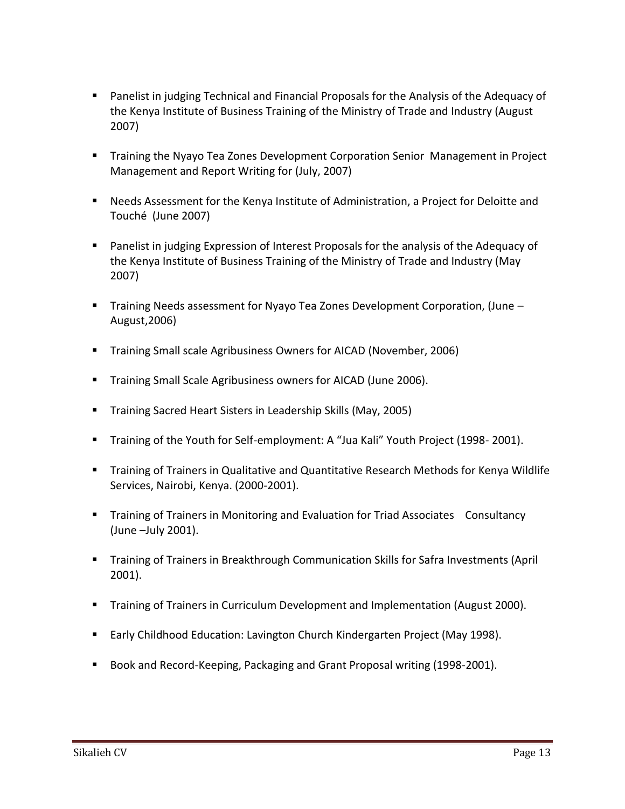- Panelist in judging Technical and Financial Proposals for the Analysis of the Adequacy of the Kenya Institute of Business Training of the Ministry of Trade and Industry (August 2007)
- Training the Nyayo Tea Zones Development Corporation Senior Management in Project Management and Report Writing for (July, 2007)
- Needs Assessment for the Kenya Institute of Administration, a Project for Deloitte and Touché (June 2007)
- **Panelist in judging Expression of Interest Proposals for the analysis of the Adequacy of** the Kenya Institute of Business Training of the Ministry of Trade and Industry (May 2007)
- Training Needs assessment for Nyayo Tea Zones Development Corporation, (June August,2006)
- **Training Small scale Agribusiness Owners for AICAD (November, 2006)**
- **Training Small Scale Agribusiness owners for AICAD (June 2006).**
- **Training Sacred Heart Sisters in Leadership Skills (May, 2005)**
- **Training of the Youth for Self-employment: A "Jua Kali" Youth Project (1998-2001).**
- **Training of Trainers in Qualitative and Quantitative Research Methods for Kenya Wildlife** Services, Nairobi, Kenya. (2000-2001).
- **Training of Trainers in Monitoring and Evaluation for Triad Associates Consultancy** (June –July 2001).
- **Training of Trainers in Breakthrough Communication Skills for Safra Investments (April** 2001).
- **Training of Trainers in Curriculum Development and Implementation (August 2000).**
- **Early Childhood Education: Lavington Church Kindergarten Project (May 1998).**
- Book and Record-Keeping, Packaging and Grant Proposal writing (1998-2001).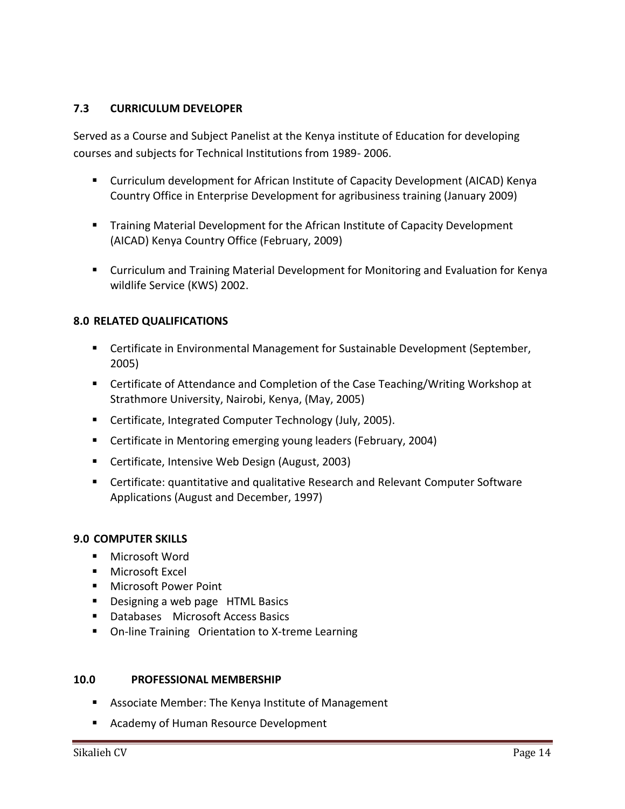#### **7.3 CURRICULUM DEVELOPER**

Served as a Course and Subject Panelist at the Kenya institute of Education for developing courses and subjects for Technical Institutions from 1989- 2006.

- Curriculum development for African Institute of Capacity Development (AICAD) Kenya Country Office in Enterprise Development for agribusiness training (January 2009)
- Training Material Development for the African Institute of Capacity Development (AICAD) Kenya Country Office (February, 2009)
- Curriculum and Training Material Development for Monitoring and Evaluation for Kenya wildlife Service (KWS) 2002.

#### **8.0 RELATED QUALIFICATIONS**

- **EXP** Certificate in Environmental Management for Sustainable Development (September, 2005)
- Certificate of Attendance and Completion of the Case Teaching/Writing Workshop at Strathmore University, Nairobi, Kenya, (May, 2005)
- Certificate, Integrated Computer Technology (July, 2005).
- **E** Certificate in Mentoring emerging young leaders (February, 2004)
- Certificate, Intensive Web Design (August, 2003)
- Certificate: quantitative and qualitative Research and Relevant Computer Software Applications (August and December, 1997)

#### **9.0 COMPUTER SKILLS**

- **Microsoft Word**
- **Microsoft Excel**
- Microsoft Power Point
- **Designing a web page HTML Basics**
- Databases Microsoft Access Basics
- On-line Training Orientation to X-treme Learning

#### **10.0 PROFESSIONAL MEMBERSHIP**

- Associate Member: The Kenya Institute of Management
- **Academy of Human Resource Development**